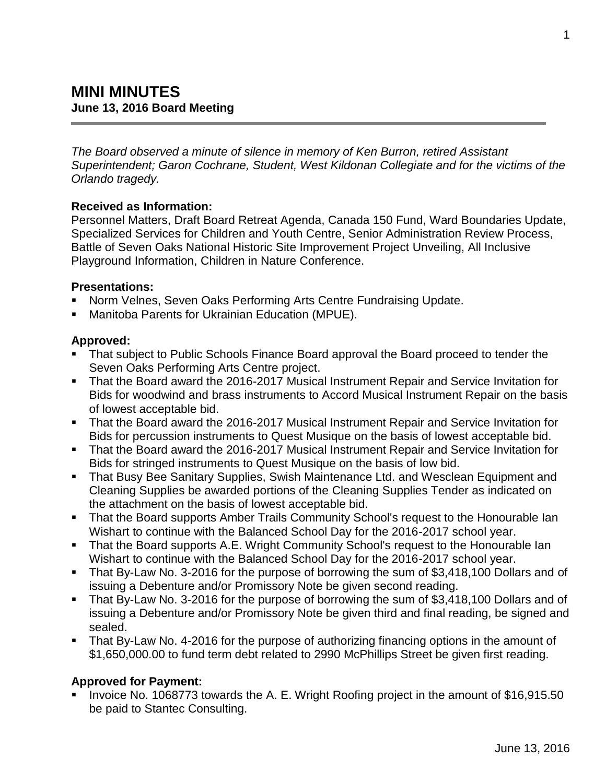*The Board observed a minute of silence in memory of Ken Burron, retired Assistant Superintendent; Garon Cochrane, Student, West Kildonan Collegiate and for the victims of the Orlando tragedy.*

### **Received as Information:**

Personnel Matters, Draft Board Retreat Agenda, Canada 150 Fund, Ward Boundaries Update, Specialized Services for Children and Youth Centre, Senior Administration Review Process, Battle of Seven Oaks National Historic Site Improvement Project Unveiling, All Inclusive Playground Information, Children in Nature Conference.

#### **Presentations:**

- Norm Velnes, Seven Oaks Performing Arts Centre Fundraising Update.
- Manitoba Parents for Ukrainian Education (MPUE).

### **Approved:**

- That subject to Public Schools Finance Board approval the Board proceed to tender the Seven Oaks Performing Arts Centre project.
- That the Board award the 2016-2017 Musical Instrument Repair and Service Invitation for Bids for woodwind and brass instruments to Accord Musical Instrument Repair on the basis of lowest acceptable bid.
- That the Board award the 2016-2017 Musical Instrument Repair and Service Invitation for Bids for percussion instruments to Quest Musique on the basis of lowest acceptable bid.
- That the Board award the 2016-2017 Musical Instrument Repair and Service Invitation for Bids for stringed instruments to Quest Musique on the basis of low bid.
- That Busy Bee Sanitary Supplies, Swish Maintenance Ltd. and Wesclean Equipment and Cleaning Supplies be awarded portions of the Cleaning Supplies Tender as indicated on the attachment on the basis of lowest acceptable bid.
- That the Board supports Amber Trails Community School's request to the Honourable Ian Wishart to continue with the Balanced School Day for the 2016-2017 school year.
- That the Board supports A.E. Wright Community School's request to the Honourable Ian Wishart to continue with the Balanced School Day for the 2016-2017 school year.
- That By-Law No. 3-2016 for the purpose of borrowing the sum of \$3,418,100 Dollars and of issuing a Debenture and/or Promissory Note be given second reading.
- That By-Law No. 3-2016 for the purpose of borrowing the sum of \$3,418,100 Dollars and of issuing a Debenture and/or Promissory Note be given third and final reading, be signed and sealed.
- That By-Law No. 4-2016 for the purpose of authorizing financing options in the amount of \$1,650,000.00 to fund term debt related to 2990 McPhillips Street be given first reading.

### **Approved for Payment:**

I Invoice No. 1068773 towards the A. E. Wright Roofing project in the amount of \$16,915.50 be paid to Stantec Consulting.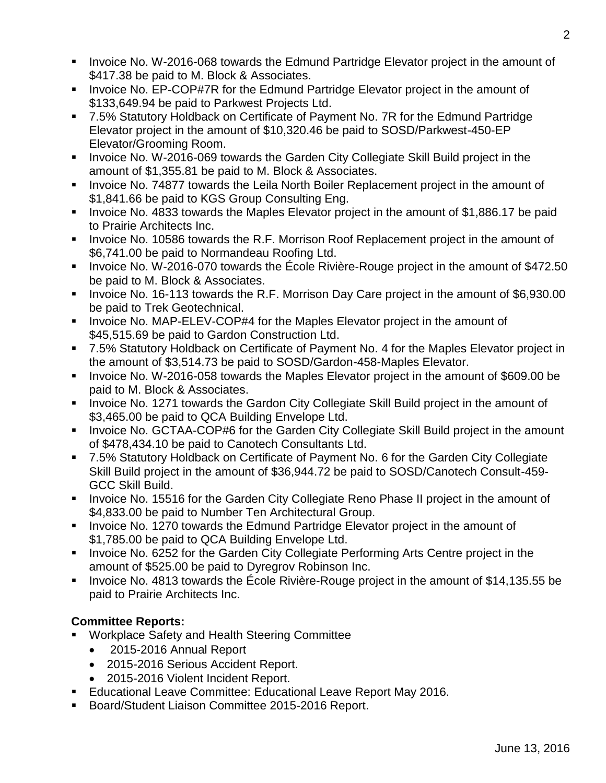- **IDED** Invoice No. W-2016-068 towards the Edmund Partridge Elevator project in the amount of \$417.38 be paid to M. Block & Associates.
- Invoice No. EP-COP#7R for the Edmund Partridge Elevator project in the amount of \$133,649.94 be paid to Parkwest Projects Ltd.
- 7.5% Statutory Holdback on Certificate of Payment No. 7R for the Edmund Partridge Elevator project in the amount of \$10,320.46 be paid to SOSD/Parkwest-450-EP Elevator/Grooming Room.
- **Invoice No. W-2016-069 towards the Garden City Collegiate Skill Build project in the** amount of \$1,355.81 be paid to M. Block & Associates.
- **Invoice No. 74877 towards the Leila North Boiler Replacement project in the amount of** \$1,841.66 be paid to KGS Group Consulting Eng.
- **IDED** 10.4833 towards the Maples Elevator project in the amount of \$1,886.17 be paid to Prairie Architects Inc.
- Invoice No. 10586 towards the R.F. Morrison Roof Replacement project in the amount of \$6,741.00 be paid to Normandeau Roofing Ltd.
- I Invoice No. W-2016-070 towards the École Rivière-Rouge project in the amount of \$472.50 be paid to M. Block & Associates.
- I Invoice No. 16-113 towards the R.F. Morrison Day Care project in the amount of \$6,930.00 be paid to Trek Geotechnical.
- **Invoice No. MAP-ELEV-COP#4 for the Maples Elevator project in the amount of** \$45,515.69 be paid to Gardon Construction Ltd.
- 7.5% Statutory Holdback on Certificate of Payment No. 4 for the Maples Elevator project in the amount of \$3,514.73 be paid to SOSD/Gardon-458-Maples Elevator.
- Invoice No. W-2016-058 towards the Maples Elevator project in the amount of \$609.00 be paid to M. Block & Associates.
- **IDED** 1271 towards the Gardon City Collegiate Skill Build project in the amount of \$3,465.00 be paid to QCA Building Envelope Ltd.
- **IDED** Invoice No. GCTAA-COP#6 for the Garden City Collegiate Skill Build project in the amount of \$478,434.10 be paid to Canotech Consultants Ltd.
- 7.5% Statutory Holdback on Certificate of Payment No. 6 for the Garden City Collegiate Skill Build project in the amount of \$36,944.72 be paid to SOSD/Canotech Consult-459- GCC Skill Build.
- Invoice No. 15516 for the Garden City Collegiate Reno Phase II project in the amount of \$4,833.00 be paid to Number Ten Architectural Group.
- **Invoice No. 1270 towards the Edmund Partridge Elevator project in the amount of** \$1,785.00 be paid to QCA Building Envelope Ltd.
- **Invoice No. 6252 for the Garden City Collegiate Performing Arts Centre project in the** amount of \$525.00 be paid to Dyregrov Robinson Inc.
- Invoice No. 4813 towards the École Rivière-Rouge project in the amount of \$14,135.55 be paid to Prairie Architects Inc.

## **Committee Reports:**

- Workplace Safety and Health Steering Committee
	- 2015-2016 Annual Report
	- 2015-2016 Serious Accident Report.
	- 2015-2016 Violent Incident Report.
- **Educational Leave Committee: Educational Leave Report May 2016.**
- Board/Student Liaison Committee 2015-2016 Report.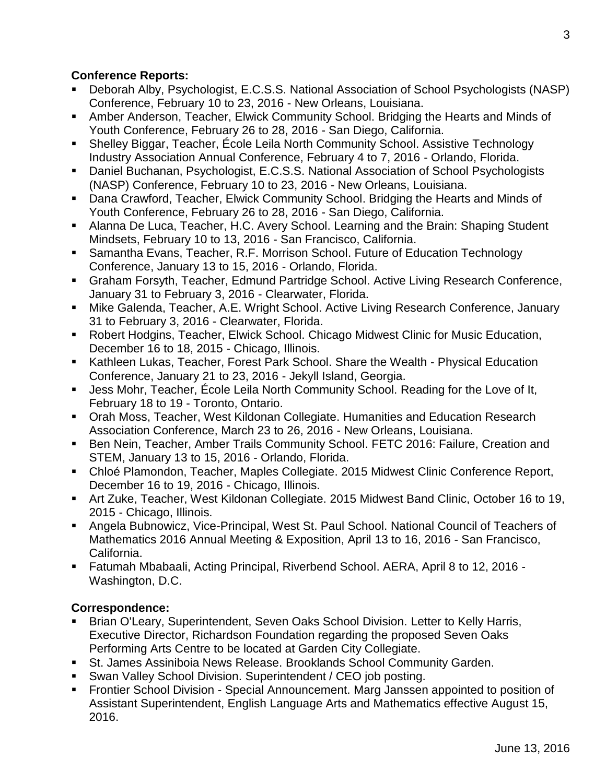### **Conference Reports:**

- Deborah Alby, Psychologist, E.C.S.S. National Association of School Psychologists (NASP) Conference, February 10 to 23, 2016 - New Orleans, Louisiana.
- Amber Anderson, Teacher, Elwick Community School. Bridging the Hearts and Minds of Youth Conference, February 26 to 28, 2016 - San Diego, California.
- Shelley Biggar, Teacher, École Leila North Community School. Assistive Technology Industry Association Annual Conference, February 4 to 7, 2016 - Orlando, Florida.
- Daniel Buchanan, Psychologist, E.C.S.S. National Association of School Psychologists (NASP) Conference, February 10 to 23, 2016 - New Orleans, Louisiana.
- **Dana Crawford, Teacher, Elwick Community School. Bridging the Hearts and Minds of** Youth Conference, February 26 to 28, 2016 - San Diego, California.
- Alanna De Luca, Teacher, H.C. Avery School. Learning and the Brain: Shaping Student Mindsets, February 10 to 13, 2016 - San Francisco, California.
- Samantha Evans, Teacher, R.F. Morrison School. Future of Education Technology Conference, January 13 to 15, 2016 - Orlando, Florida.
- Graham Forsyth, Teacher, Edmund Partridge School. Active Living Research Conference, January 31 to February 3, 2016 - Clearwater, Florida.
- Mike Galenda, Teacher, A.E. Wright School. Active Living Research Conference, January 31 to February 3, 2016 - Clearwater, Florida.
- Robert Hodgins, Teacher, Elwick School. Chicago Midwest Clinic for Music Education, December 16 to 18, 2015 - Chicago, Illinois.
- Kathleen Lukas, Teacher, Forest Park School. Share the Wealth Physical Education Conference, January 21 to 23, 2016 - Jekyll Island, Georgia.
- Jess Mohr, Teacher, École Leila North Community School. Reading for the Love of It, February 18 to 19 - Toronto, Ontario.
- Orah Moss, Teacher, West Kildonan Collegiate. Humanities and Education Research Association Conference, March 23 to 26, 2016 - New Orleans, Louisiana.
- Ben Nein, Teacher, Amber Trails Community School. FETC 2016: Failure, Creation and STEM, January 13 to 15, 2016 - Orlando, Florida.
- Chloé Plamondon, Teacher, Maples Collegiate. 2015 Midwest Clinic Conference Report, December 16 to 19, 2016 - Chicago, Illinois.
- Art Zuke, Teacher, West Kildonan Collegiate. 2015 Midwest Band Clinic, October 16 to 19, 2015 - Chicago, Illinois.
- Angela Bubnowicz, Vice-Principal, West St. Paul School. National Council of Teachers of Mathematics 2016 Annual Meeting & Exposition, April 13 to 16, 2016 - San Francisco, California.
- Fatumah Mbabaali, Acting Principal, Riverbend School. AERA, April 8 to 12, 2016 Washington, D.C.

## **Correspondence:**

- Brian O'Leary, Superintendent, Seven Oaks School Division. Letter to Kelly Harris, Executive Director, Richardson Foundation regarding the proposed Seven Oaks Performing Arts Centre to be located at Garden City Collegiate.
- St. James Assiniboia News Release. Brooklands School Community Garden.
- Swan Valley School Division. Superintendent / CEO job posting.
- **Frontier School Division Special Announcement. Marg Janssen appointed to position of** Assistant Superintendent, English Language Arts and Mathematics effective August 15, 2016.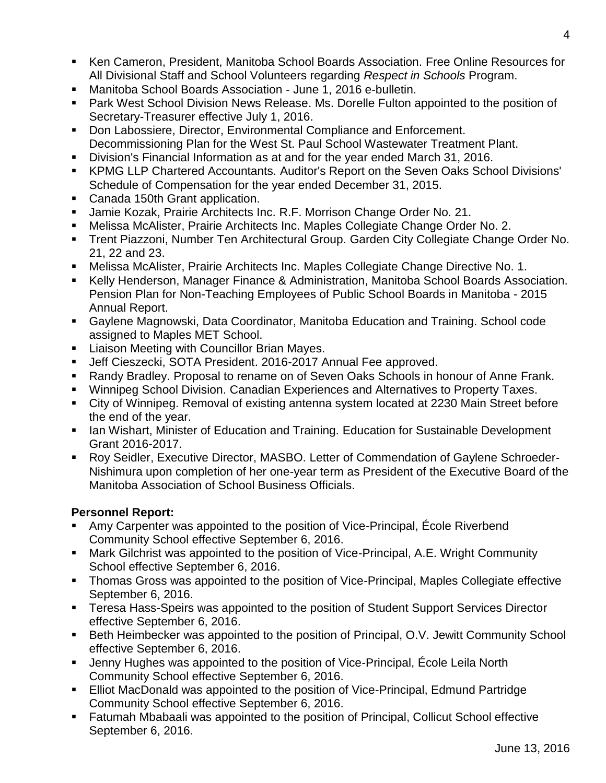- Ken Cameron, President, Manitoba School Boards Association. Free Online Resources for All Divisional Staff and School Volunteers regarding *Respect in Schools* Program.
- Manitoba School Boards Association June 1, 2016 e-bulletin.
- **Park West School Division News Release. Ms. Dorelle Fulton appointed to the position of** Secretary-Treasurer effective July 1, 2016.
- **Don Labossiere, Director, Environmental Compliance and Enforcement.** Decommissioning Plan for the West St. Paul School Wastewater Treatment Plant.
- Division's Financial Information as at and for the year ended March 31, 2016.
- KPMG LLP Chartered Accountants. Auditor's Report on the Seven Oaks School Divisions' Schedule of Compensation for the year ended December 31, 2015.
- Canada 150th Grant application.
- Jamie Kozak, Prairie Architects Inc. R.F. Morrison Change Order No. 21.
- Melissa McAlister, Prairie Architects Inc. Maples Collegiate Change Order No. 2.
- Trent Piazzoni, Number Ten Architectural Group. Garden City Collegiate Change Order No. 21, 22 and 23.
- Melissa McAlister, Prairie Architects Inc. Maples Collegiate Change Directive No. 1.
- Kelly Henderson, Manager Finance & Administration, Manitoba School Boards Association. Pension Plan for Non-Teaching Employees of Public School Boards in Manitoba - 2015 Annual Report.
- Gaylene Magnowski, Data Coordinator, Manitoba Education and Training. School code assigned to Maples MET School.
- **E.** Liaison Meeting with Councillor Brian Mayes.
- Jeff Cieszecki, SOTA President. 2016-2017 Annual Fee approved.
- Randy Bradley. Proposal to rename on of Seven Oaks Schools in honour of Anne Frank.
- Winnipeg School Division. Canadian Experiences and Alternatives to Property Taxes.
- City of Winnipeg. Removal of existing antenna system located at 2230 Main Street before the end of the year.
- Ian Wishart, Minister of Education and Training. Education for Sustainable Development Grant 2016-2017.
- Roy Seidler, Executive Director, MASBO. Letter of Commendation of Gaylene Schroeder-Nishimura upon completion of her one-year term as President of the Executive Board of the Manitoba Association of School Business Officials.

# **Personnel Report:**

- Amy Carpenter was appointed to the position of Vice-Principal, École Riverbend Community School effective September 6, 2016.
- Mark Gilchrist was appointed to the position of Vice-Principal, A.E. Wright Community School effective September 6, 2016.
- **Thomas Gross was appointed to the position of Vice-Principal, Maples Collegiate effective** September 6, 2016.
- **Teresa Hass-Speirs was appointed to the position of Student Support Services Director** effective September 6, 2016.
- **Beth Heimbecker was appointed to the position of Principal, O.V. Jewitt Community School** effective September 6, 2016.
- Jenny Hughes was appointed to the position of Vice-Principal, École Leila North Community School effective September 6, 2016.
- **Elliot MacDonald was appointed to the position of Vice-Principal, Edmund Partridge** Community School effective September 6, 2016.
- **Fatumah Mbabaali was appointed to the position of Principal, Collicut School effective** September 6, 2016.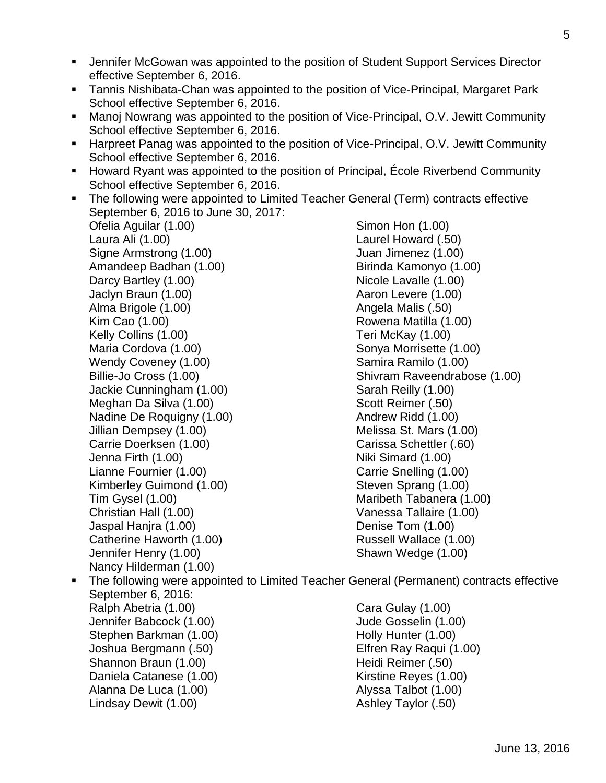- Jennifer McGowan was appointed to the position of Student Support Services Director effective September 6, 2016.
- Tannis Nishibata-Chan was appointed to the position of Vice-Principal, Margaret Park School effective September 6, 2016.
- Manoj Nowrang was appointed to the position of Vice-Principal, O.V. Jewitt Community School effective September 6, 2016.
- Harpreet Panag was appointed to the position of Vice-Principal, O.V. Jewitt Community School effective September 6, 2016.
- Howard Ryant was appointed to the position of Principal, École Riverbend Community School effective September 6, 2016.
- The following were appointed to Limited Teacher General (Term) contracts effective September 6, 2016 to June 30, 2017:

Ofelia Aguilar (1.00) Laura Ali (1.00) Signe Armstrong (1.00) Amandeep Badhan (1.00) Darcy Bartley (1.00) Jaclyn Braun (1.00) Alma Brigole (1.00) Kim Cao (1.00) Kelly Collins (1.00) Maria Cordova (1.00) Wendy Coveney (1.00) Billie-Jo Cross (1.00) Jackie Cunningham (1.00) Meghan Da Silva (1.00) Nadine De Roquigny (1.00) Jillian Dempsey (1.00) Carrie Doerksen (1.00) Jenna Firth (1.00) Lianne Fournier (1.00) Kimberley Guimond (1.00) Tim Gysel (1.00) Christian Hall (1.00) Jaspal Hanjra (1.00) Catherine Haworth (1.00) Jennifer Henry (1.00) Nancy Hilderman (1.00)

Simon Hon (1.00) Laurel Howard (.50) Juan Jimenez (1.00) Birinda Kamonyo (1.00) Nicole Lavalle (1.00) Aaron Levere (1.00) Angela Malis (.50) Rowena Matilla (1.00) Teri McKay (1.00) Sonya Morrisette (1.00) Samira Ramilo (1.00) Shivram Raveendrabose (1.00) Sarah Reilly (1.00) Scott Reimer (.50) Andrew Ridd (1.00) Melissa St. Mars (1.00) Carissa Schettler (.60) Niki Simard (1.00) Carrie Snelling (1.00) Steven Sprang (1.00) Maribeth Tabanera (1.00) Vanessa Tallaire (1.00) Denise Tom (1.00) Russell Wallace (1.00) Shawn Wedge (1.00)

 The following were appointed to Limited Teacher General (Permanent) contracts effective September 6, 2016: Ralph Abetria (1.00) Jennifer Babcock (1.00) Stephen Barkman (1.00) Joshua Bergmann (.50) Shannon Braun (1.00) Daniela Catanese (1.00) Alanna De Luca (1.00) Lindsay Dewit (1.00) Cara Gulay (1.00) Jude Gosselin (1.00) Holly Hunter (1.00) Elfren Ray Raqui (1.00) Heidi Reimer (.50) Kirstine Reyes (1.00) Alyssa Talbot (1.00) Ashley Taylor (.50)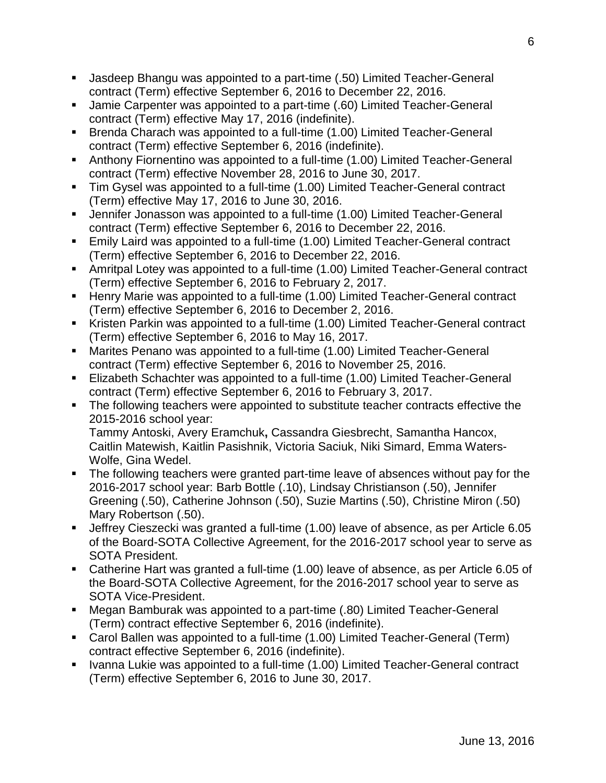- Jasdeep Bhangu was appointed to a part-time (.50) Limited Teacher-General contract (Term) effective September 6, 2016 to December 22, 2016.
- Jamie Carpenter was appointed to a part-time (.60) Limited Teacher-General contract (Term) effective May 17, 2016 (indefinite).
- Brenda Charach was appointed to a full-time (1.00) Limited Teacher-General contract (Term) effective September 6, 2016 (indefinite).
- Anthony Fiornentino was appointed to a full-time (1.00) Limited Teacher-General contract (Term) effective November 28, 2016 to June 30, 2017.
- Tim Gysel was appointed to a full-time (1.00) Limited Teacher-General contract (Term) effective May 17, 2016 to June 30, 2016.
- Jennifer Jonasson was appointed to a full-time (1.00) Limited Teacher-General contract (Term) effective September 6, 2016 to December 22, 2016.
- Emily Laird was appointed to a full-time (1.00) Limited Teacher-General contract (Term) effective September 6, 2016 to December 22, 2016.
- Amritpal Lotey was appointed to a full-time (1.00) Limited Teacher-General contract (Term) effective September 6, 2016 to February 2, 2017.
- Henry Marie was appointed to a full-time (1.00) Limited Teacher-General contract (Term) effective September 6, 2016 to December 2, 2016.
- Kristen Parkin was appointed to a full-time (1.00) Limited Teacher-General contract (Term) effective September 6, 2016 to May 16, 2017.
- Marites Penano was appointed to a full-time (1.00) Limited Teacher-General contract (Term) effective September 6, 2016 to November 25, 2016.
- Elizabeth Schachter was appointed to a full-time (1.00) Limited Teacher-General contract (Term) effective September 6, 2016 to February 3, 2017.
- The following teachers were appointed to substitute teacher contracts effective the 2015-2016 school year: Tammy Antoski, Avery Eramchuk**,** Cassandra Giesbrecht, Samantha Hancox, Caitlin Matewish, Kaitlin Pasishnik, Victoria Saciuk, Niki Simard, Emma Waters-Wolfe, Gina Wedel.
- The following teachers were granted part-time leave of absences without pay for the 2016-2017 school year: Barb Bottle (.10), Lindsay Christianson (.50), Jennifer Greening (.50), Catherine Johnson (.50), Suzie Martins (.50), Christine Miron (.50) Mary Robertson (.50).
- Jeffrey Cieszecki was granted a full-time (1.00) leave of absence, as per Article 6.05 of the Board-SOTA Collective Agreement, for the 2016-2017 school year to serve as SOTA President.
- Catherine Hart was granted a full-time (1.00) leave of absence, as per Article 6.05 of the Board-SOTA Collective Agreement, for the 2016-2017 school year to serve as SOTA Vice-President.
- Megan Bamburak was appointed to a part-time (.80) Limited Teacher-General (Term) contract effective September 6, 2016 (indefinite).
- Carol Ballen was appointed to a full-time (1.00) Limited Teacher-General (Term) contract effective September 6, 2016 (indefinite).
- Ivanna Lukie was appointed to a full-time (1.00) Limited Teacher-General contract (Term) effective September 6, 2016 to June 30, 2017.